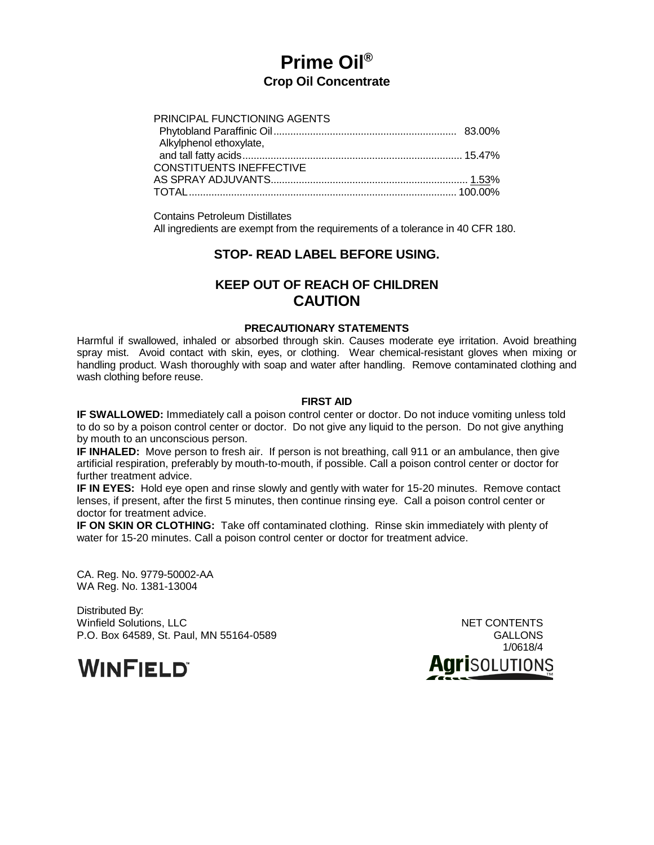# **Prime Oil® Crop Oil Concentrate**

| PRINCIPAL FUNCTIONING AGENTS    |  |
|---------------------------------|--|
|                                 |  |
| Alkylphenol ethoxylate,         |  |
|                                 |  |
| <b>CONSTITUENTS INEFFECTIVE</b> |  |
|                                 |  |
|                                 |  |

Contains Petroleum Distillates

All ingredients are exempt from the requirements of a tolerance in 40 CFR 180.

# **STOP- READ LABEL BEFORE USING.**

# **KEEP OUT OF REACH OF CHILDREN CAUTION**

# **PRECAUTIONARY STATEMENTS**

Harmful if swallowed, inhaled or absorbed through skin. Causes moderate eye irritation. Avoid breathing spray mist. Avoid contact with skin, eyes, or clothing. Wear chemical-resistant gloves when mixing or handling product. Wash thoroughly with soap and water after handling. Remove contaminated clothing and wash clothing before reuse.

## **FIRST AID**

**IF SWALLOWED:** Immediately call a poison control center or doctor. Do not induce vomiting unless told to do so by a poison control center or doctor. Do not give any liquid to the person. Do not give anything by mouth to an unconscious person.

**IF INHALED:** Move person to fresh air. If person is not breathing, call 911 or an ambulance, then give artificial respiration, preferably by mouth-to-mouth, if possible. Call a poison control center or doctor for further treatment advice.

**IF IN EYES:** Hold eye open and rinse slowly and gently with water for 15-20 minutes. Remove contact lenses, if present, after the first 5 minutes, then continue rinsing eye. Call a poison control center or doctor for treatment advice.

**IF ON SKIN OR CLOTHING:** Take off contaminated clothing. Rinse skin immediately with plenty of water for 15-20 minutes. Call a poison control center or doctor for treatment advice.

CA. Reg. No. 9779-50002-AA WA Reg. No. 1381-13004

Distributed By: Winfield Solutions, LLC NET CONTENTS P.O. Box 64589, St. Paul, MN 55164-0589

**WINFIELD** 

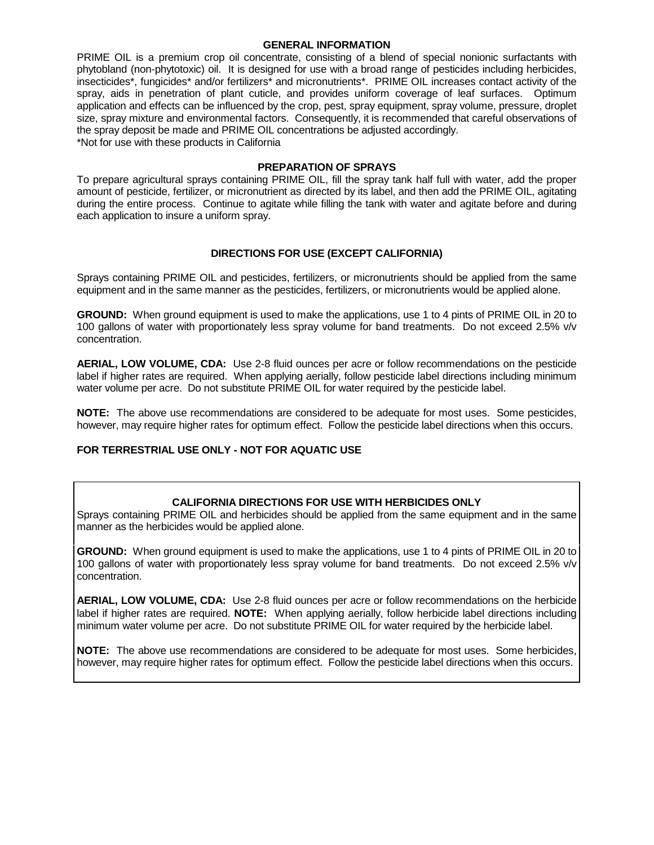#### **GENERAL INFORMATION**

PRIME OIL is a premium crop oil concentrate, consisting of a blend of special nonionic surfactants with phytobland (non-phytotoxic) oil. It is designed for use with a broad range of pesticides including herbicides, insecticides\*, fungicides\* and/or fertilizers\* and micronutrients\*. PRIME OIL increases contact activity of the spray, aids in penetration of plant cuticle, and provides uniform coverage of leaf surfaces. Optimum application and effects can be influenced by the crop, pest, spray equipment, spray volume, pressure, droplet size, spray mixture and environmental factors. Consequently, it is recommended that careful observations of the spray deposit be made and PRIME OIL concentrations be adjusted accordingly.

\*Not for use with these products in California

## **PREPARATION OF SPRAYS**

To prepare agricultural sprays containing PRIME OIL, fill the spray tank half full with water, add the proper amount of pesticide, fertilizer, or micronutrient as directed by its label, and then add the PRIME OIL, agitating during the entire process. Continue to agitate while filling the tank with water and agitate before and during each application to insure a uniform spray.

# **DIRECTIONS FOR USE (EXCEPT CALIFORNIA)**

Sprays containing PRIME OIL and pesticides, fertilizers, or micronutrients should be applied from the same equipment and in the same manner as the pesticides, fertilizers, or micronutrients would be applied alone.

**GROUND:** When ground equipment is used to make the applications, use 1 to 4 pints of PRIME OIL in 20 to 100 gallons of water with proportionately less spray volume for band treatments. Do not exceed 2.5% v/v concentration.

**AERIAL, LOW VOLUME, CDA:** Use 2-8 fluid ounces per acre or follow recommendations on the pesticide label if higher rates are required. When applying aerially, follow pesticide label directions including minimum water volume per acre. Do not substitute PRIME OIL for water required by the pesticide label.

**NOTE:** The above use recommendations are considered to be adequate for most uses. Some pesticides, however, may require higher rates for optimum effect. Follow the pesticide label directions when this occurs.

# **FOR TERRESTRIAL USE ONLY - NOT FOR AQUATIC USE**

# **CALIFORNIA DIRECTIONS FOR USE WITH HERBICIDES ONLY**

Sprays containing PRIME OIL and herbicides should be applied from the same equipment and in the same manner as the herbicides would be applied alone.

**GROUND:** When ground equipment is used to make the applications, use 1 to 4 pints of PRIME OIL in 20 to 100 gallons of water with proportionately less spray volume for band treatments. Do not exceed 2.5% v/v concentration.

**AERIAL, LOW VOLUME, CDA:** Use 2-8 fluid ounces per acre or follow recommendations on the herbicide label if higher rates are required. **NOTE:** When applying aerially, follow herbicide label directions including minimum water volume per acre. Do not substitute PRIME OIL for water required by the herbicide label.

**NOTE:** The above use recommendations are considered to be adequate for most uses. Some herbicides, however, may require higher rates for optimum effect. Follow the pesticide label directions when this occurs.